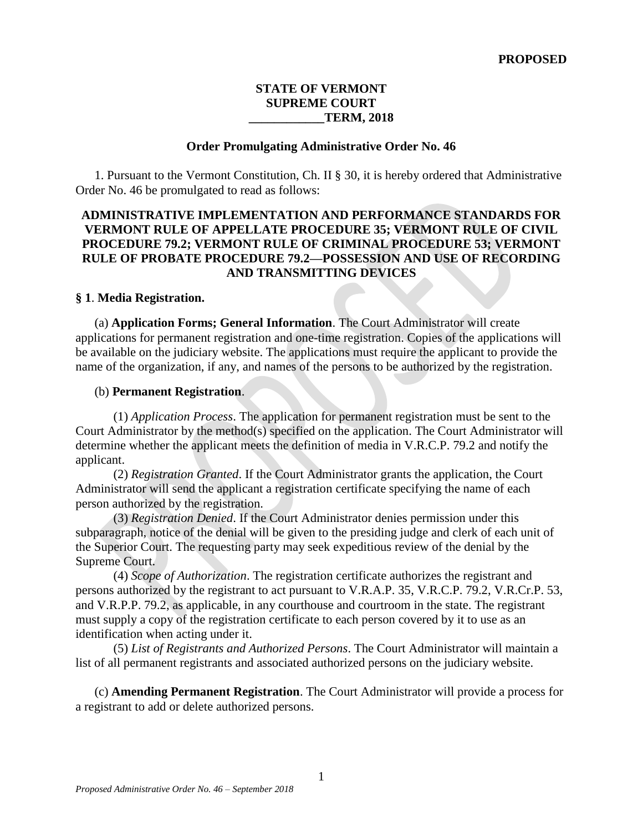### **STATE OF VERMONT SUPREME COURT \_\_\_\_\_\_\_\_\_\_\_\_TERM, 2018**

#### **Order Promulgating Administrative Order No. 46**

1. Pursuant to the Vermont Constitution, Ch. II § 30, it is hereby ordered that Administrative Order No. 46 be promulgated to read as follows:

## **ADMINISTRATIVE IMPLEMENTATION AND PERFORMANCE STANDARDS FOR VERMONT RULE OF APPELLATE PROCEDURE 35; VERMONT RULE OF CIVIL PROCEDURE 79.2; VERMONT RULE OF CRIMINAL PROCEDURE 53; VERMONT RULE OF PROBATE PROCEDURE 79.2—POSSESSION AND USE OF RECORDING AND TRANSMITTING DEVICES**

#### **§ 1**. **Media Registration.**

(a) **Application Forms; General Information**. The Court Administrator will create applications for permanent registration and one-time registration. Copies of the applications will be available on the judiciary website. The applications must require the applicant to provide the name of the organization, if any, and names of the persons to be authorized by the registration.

#### (b) **Permanent Registration**.

(1) *Application Process*. The application for permanent registration must be sent to the Court Administrator by the method(s) specified on the application. The Court Administrator will determine whether the applicant meets the definition of media in V.R.C.P. 79.2 and notify the applicant.

(2) *Registration Granted*. If the Court Administrator grants the application, the Court Administrator will send the applicant a registration certificate specifying the name of each person authorized by the registration.

(3) *Registration Denied*. If the Court Administrator denies permission under this subparagraph, notice of the denial will be given to the presiding judge and clerk of each unit of the Superior Court. The requesting party may seek expeditious review of the denial by the Supreme Court.

(4) *Scope of Authorization*. The registration certificate authorizes the registrant and persons authorized by the registrant to act pursuant to V.R.A.P. 35, V.R.C.P. 79.2, V.R.Cr.P. 53, and V.R.P.P. 79.2, as applicable, in any courthouse and courtroom in the state. The registrant must supply a copy of the registration certificate to each person covered by it to use as an identification when acting under it.

(5) *List of Registrants and Authorized Persons*. The Court Administrator will maintain a list of all permanent registrants and associated authorized persons on the judiciary website.

(c) **Amending Permanent Registration**. The Court Administrator will provide a process for a registrant to add or delete authorized persons.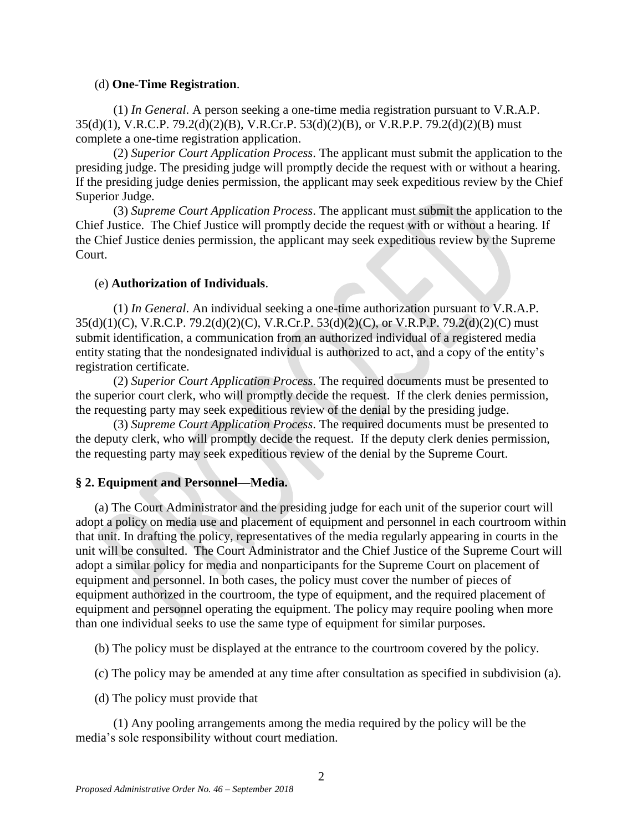### (d) **One-Time Registration**.

(1) *In General*. A person seeking a one-time media registration pursuant to V.R.A.P. 35(d)(1), V.R.C.P. 79.2(d)(2)(B), V.R.Cr.P. 53(d)(2)(B), or V.R.P.P. 79.2(d)(2)(B) must complete a one-time registration application.

(2) *Superior Court Application Process*. The applicant must submit the application to the presiding judge. The presiding judge will promptly decide the request with or without a hearing. If the presiding judge denies permission, the applicant may seek expeditious review by the Chief Superior Judge.

(3) *Supreme Court Application Process*. The applicant must submit the application to the Chief Justice. The Chief Justice will promptly decide the request with or without a hearing. If the Chief Justice denies permission, the applicant may seek expeditious review by the Supreme Court.

## (e) **Authorization of Individuals**.

(1) *In General*. An individual seeking a one-time authorization pursuant to V.R.A.P. 35(d)(1)(C), V.R.C.P. 79.2(d)(2)(C), V.R.Cr.P. 53(d)(2)(C), or V.R.P.P. 79.2(d)(2)(C) must submit identification, a communication from an authorized individual of a registered media entity stating that the nondesignated individual is authorized to act, and a copy of the entity's registration certificate.

(2) *Superior Court Application Process*. The required documents must be presented to the superior court clerk, who will promptly decide the request. If the clerk denies permission, the requesting party may seek expeditious review of the denial by the presiding judge.

(3) *Supreme Court Application Process*. The required documents must be presented to the deputy clerk, who will promptly decide the request. If the deputy clerk denies permission, the requesting party may seek expeditious review of the denial by the Supreme Court.

# **§ 2. Equipment and Personnel—Media.**

(a) The Court Administrator and the presiding judge for each unit of the superior court will adopt a policy on media use and placement of equipment and personnel in each courtroom within that unit. In drafting the policy, representatives of the media regularly appearing in courts in the unit will be consulted. The Court Administrator and the Chief Justice of the Supreme Court will adopt a similar policy for media and nonparticipants for the Supreme Court on placement of equipment and personnel. In both cases, the policy must cover the number of pieces of equipment authorized in the courtroom, the type of equipment, and the required placement of equipment and personnel operating the equipment. The policy may require pooling when more than one individual seeks to use the same type of equipment for similar purposes.

(b) The policy must be displayed at the entrance to the courtroom covered by the policy.

(c) The policy may be amended at any time after consultation as specified in subdivision (a).

(d) The policy must provide that

(1) Any pooling arrangements among the media required by the policy will be the media's sole responsibility without court mediation.